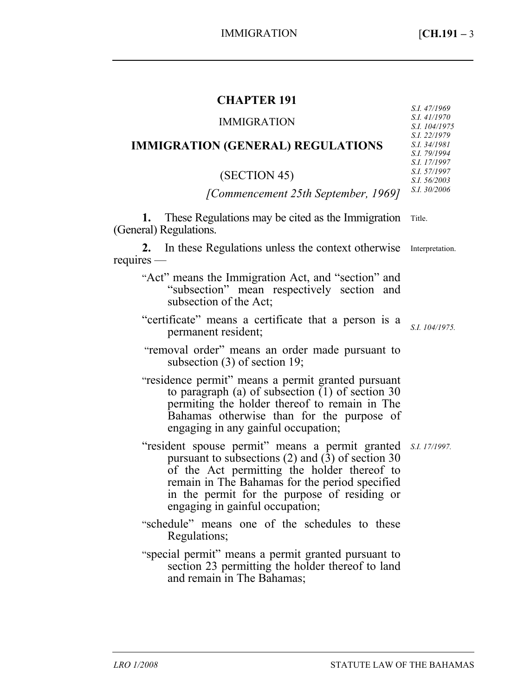*S.I. 47/1969* 

# **CHAPTER 191**

| <b>IMMIGRATION</b>                                                                                                                                                                                                                                                                         | S.I. 41/1970<br>S.I. 104/1975                                |
|--------------------------------------------------------------------------------------------------------------------------------------------------------------------------------------------------------------------------------------------------------------------------------------------|--------------------------------------------------------------|
| <b>IMMIGRATION (GENERAL) REGULATIONS</b>                                                                                                                                                                                                                                                   | S.I. 22/1979<br>S.I. 34/1981<br>S.I. 79/1994<br>S.I. 17/1997 |
| (SECTION 45)                                                                                                                                                                                                                                                                               | S.I. 57/1997<br>S.I. 56/2003                                 |
| [Commencement 25th September, 1969]                                                                                                                                                                                                                                                        | S.I. 30/2006                                                 |
| 1. These Regulations may be cited as the Immigration<br>(General) Regulations.                                                                                                                                                                                                             | Title.                                                       |
| 2. In these Regulations unless the context otherwise<br>requires                                                                                                                                                                                                                           | Interpretation.                                              |
| "Act" means the Immigration Act, and "section" and<br>"subsection" mean respectively section and<br>subsection of the Act;                                                                                                                                                                 |                                                              |
| "certificate" means a certificate that a person is a<br>permanent resident;                                                                                                                                                                                                                | S.I. 104/1975.                                               |
| "removal order" means an order made pursuant to<br>subsection $(3)$ of section 19;                                                                                                                                                                                                         |                                                              |
| "residence permit" means a permit granted pursuant<br>to paragraph (a) of subsection $(1)$ of section 30<br>permiting the holder thereof to remain in The<br>Bahamas otherwise than for the purpose of<br>engaging in any gainful occupation;                                              |                                                              |
| "resident spouse permit" means a permit granted<br>pursuant to subsections (2) and $(3)$ of section 30<br>of the Act permitting the holder thereof to<br>remain in The Bahamas for the period specified<br>in the permit for the purpose of residing or<br>engaging in gainful occupation; | S.I. 17/1997.                                                |
| "schedule" means one of the schedules to these<br>Regulations;                                                                                                                                                                                                                             |                                                              |
| "special permit" means a permit granted pursuant to<br>section 23 permitting the holder thereof to land                                                                                                                                                                                    |                                                              |

and remain in The Bahamas;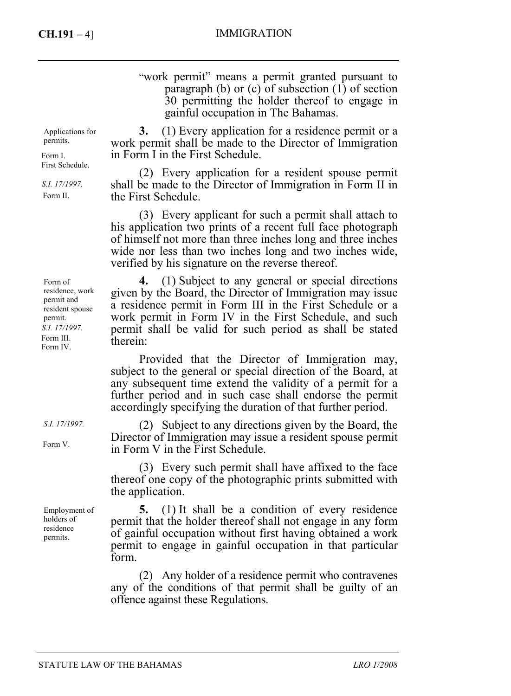## **CH.191 –** 4] IMMIGRATION

"work permit" means a permit granted pursuant to paragraph (b) or (c) of subsection (1) of section 30 permitting the holder thereof to engage in gainful occupation in The Bahamas.

Applications for permits.

Form I. First Schedule.

*S.I. 17/1997.*  Form II.

Form of residence, work permit and resident spouse permit. *S.I. 17/1997.*  Form III. Form IV.

*S.I. 17/1997.* 

Form V.

Employment of holders of residence permits.

**3.** (1) Every application for a residence permit or a work permit shall be made to the Director of Immigration in Form I in the First Schedule.

(2) Every application for a resident spouse permit shall be made to the Director of Immigration in Form II in the First Schedule.

(3) Every applicant for such a permit shall attach to his application two prints of a recent full face photograph of himself not more than three inches long and three inches wide nor less than two inches long and two inches wide, verified by his signature on the reverse thereof.

**4.** (1) Subject to any general or special directions given by the Board, the Director of Immigration may issue a residence permit in Form III in the First Schedule or a work permit in Form IV in the First Schedule, and such permit shall be valid for such period as shall be stated therein:

Provided that the Director of Immigration may, subject to the general or special direction of the Board, at any subsequent time extend the validity of a permit for a further period and in such case shall endorse the permit accordingly specifying the duration of that further period.

(2) Subject to any directions given by the Board, the Director of Immigration may issue a resident spouse permit in Form V in the First Schedule.

(3) Every such permit shall have affixed to the face thereof one copy of the photographic prints submitted with the application.

**5.** (1) It shall be a condition of every residence permit that the holder thereof shall not engage in any form of gainful occupation without first having obtained a work permit to engage in gainful occupation in that particular form.

(2) Any holder of a residence permit who contravenes any of the conditions of that permit shall be guilty of an offence against these Regulations.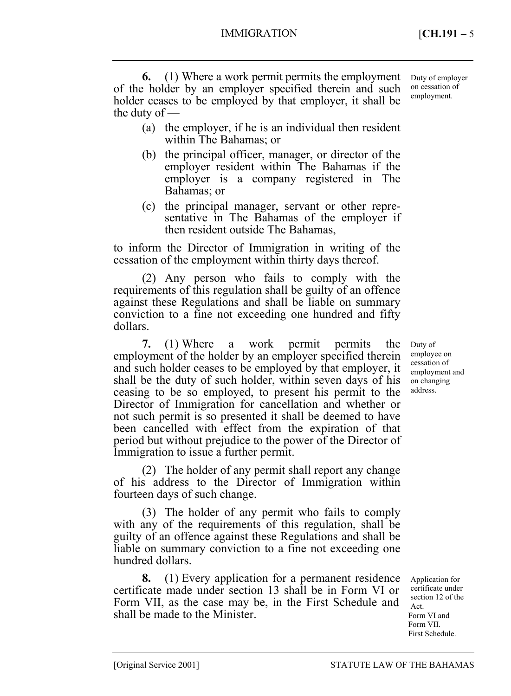**6.** (1) Where a work permit permits the employment of the holder by an employer specified therein and such holder ceases to be employed by that employer, it shall be the duty of —

- (a) the employer, if he is an individual then resident within The Bahamas; or
- (b) the principal officer, manager, or director of the employer resident within The Bahamas if the employer is a company registered in The Bahamas; or
- (c) the principal manager, servant or other representative in The Bahamas of the employer if then resident outside The Bahamas,

to inform the Director of Immigration in writing of the cessation of the employment within thirty days thereof.

(2) Any person who fails to comply with the requirements of this regulation shall be guilty of an offence against these Regulations and shall be liable on summary conviction to a fine not exceeding one hundred and fifty dollars.

**7.** (1) Where a work permit permits the employment of the holder by an employer specified therein and such holder ceases to be employed by that employer, it shall be the duty of such holder, within seven days of his ceasing to be so employed, to present his permit to the Director of Immigration for cancellation and whether or not such permit is so presented it shall be deemed to have been cancelled with effect from the expiration of that period but without prejudice to the power of the Director of Immigration to issue a further permit.

(2) The holder of any permit shall report any change of his address to the Director of Immigration within fourteen days of such change.

(3) The holder of any permit who fails to comply with any of the requirements of this regulation, shall be guilty of an offence against these Regulations and shall be liable on summary conviction to a fine not exceeding one hundred dollars.

**8.** (1) Every application for a permanent residence certificate made under section 13 shall be in Form VI or Form VII, as the case may be, in the First Schedule and shall be made to the Minister.

Duty of employee on cessation of employment and on changing address.

Application for certificate under section 12 of the

Act. Form VI and Form VII. First Schedule.

Duty of employer on cessation of employment.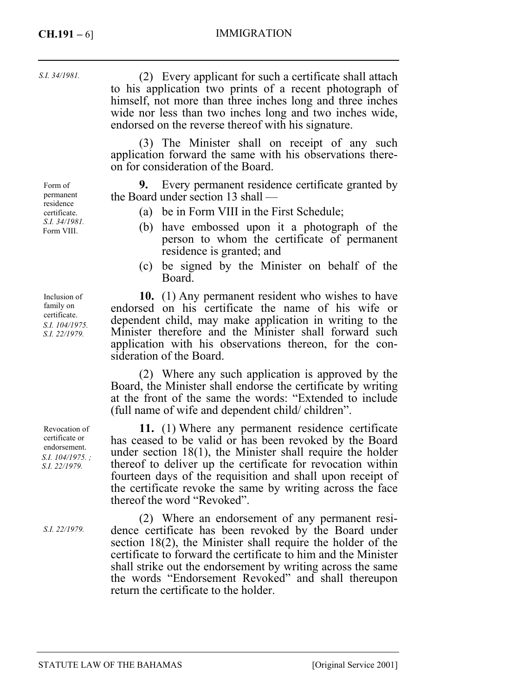## **CH.191 –** 6] IMMIGRATION

*S.I. 34/1981.* 

(2) Every applicant for such a certificate shall attach to his application two prints of a recent photograph of himself, not more than three inches long and three inches wide nor less than two inches long and two inches wide, endorsed on the reverse thereof with his signature.

(3) The Minister shall on receipt of any such application forward the same with his observations thereon for consideration of the Board.

**9.** Every permanent residence certificate granted by the Board under section 13 shall —

- (a) be in Form VIII in the First Schedule;
- (b) have embossed upon it a photograph of the person to whom the certificate of permanent residence is granted; and
- (c) be signed by the Minister on behalf of the Board.

**10.** (1) Any permanent resident who wishes to have endorsed on his certificate the name of his wife or dependent child, may make application in writing to the Minister therefore and the Minister shall forward such application with his observations thereon, for the consideration of the Board.

(2) Where any such application is approved by the Board, the Minister shall endorse the certificate by writing at the front of the same the words: "Extended to include (full name of wife and dependent child/ children".

**11.** (1) Where any permanent residence certificate has ceased to be valid or has been revoked by the Board under section 18(1), the Minister shall require the holder thereof to deliver up the certificate for revocation within fourteen days of the requisition and shall upon receipt of the certificate revoke the same by writing across the face thereof the word "Revoked".

(2) Where an endorsement of any permanent residence certificate has been revoked by the Board under section 18(2), the Minister shall require the holder of the certificate to forward the certificate to him and the Minister shall strike out the endorsement by writing across the same the words "Endorsement Revoked" and shall thereupon return the certificate to the holder.

Form of permanent residence certificate. *S.I. 34/1981.*  Form VIII.

Inclusion of family on certificate. *S.I. 104/1975. S.I. 22/1979.* 

Revocation of certificate or endorsement. *S.I. 104/1975. ; S.I. 22/1979.* 

*S.I. 22/1979.*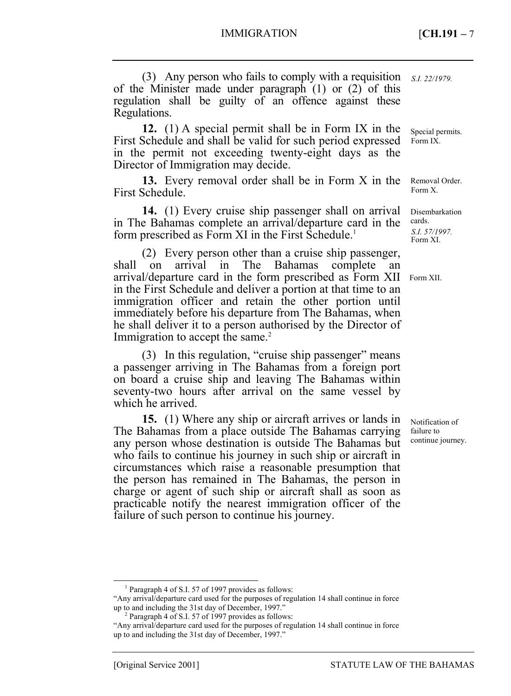(3) Any person who fails to comply with a requisition *S.I. 22/1979.*  of the Minister made under paragraph (1) or (2) of this regulation shall be guilty of an offence against these Regulations.

**12.** (1) A special permit shall be in Form IX in the First Schedule and shall be valid for such period expressed in the permit not exceeding twenty-eight days as the Director of Immigration may decide.

**13.** Every removal order shall be in Form X in the First Schedule.

**14.** (1) Every cruise ship passenger shall on arrival in The Bahamas complete an arrival/departure card in the form prescribed as Form XI in the First Schedule.<sup>1</sup>

(2) Every person other than a cruise ship passenger, shall on arrival in The Bahamas complete an arrival/departure card in the form prescribed as Form XII in the First Schedule and deliver a portion at that time to an immigration officer and retain the other portion until immediately before his departure from The Bahamas, when he shall deliver it to a person authorised by the Director of Immigration to accept the same.<sup>2</sup>

(3) In this regulation, "cruise ship passenger" means a passenger arriving in The Bahamas from a foreign port on board a cruise ship and leaving The Bahamas within seventy-two hours after arrival on the same vessel by which he arrived.

**15.** (1) Where any ship or aircraft arrives or lands in The Bahamas from a place outside The Bahamas carrying any person whose destination is outside The Bahamas but who fails to continue his journey in such ship or aircraft in circumstances which raise a reasonable presumption that the person has remained in The Bahamas, the person in charge or agent of such ship or aircraft shall as soon as practicable notify the nearest immigration officer of the failure of such person to continue his journey.

Special permits. Form IX.

Removal Order. Form X.

Disembarkation cards. *S.I. 57/1997.*  Form XI.

Form XII.

Notification of failure to continue journey.

 $\overline{\phantom{0}}$ <sub>1</sub> <sup>1</sup> Paragraph 4 of S.I. 57 of 1997 provides as follows:

<sup>&</sup>quot;Any arrival/departure card used for the purposes of regulation 14 shall continue in force up to and including the 31st day of December, 1997."

 $2$  Paragraph 4 of S.I. 57 of 1997 provides as follows:

<sup>&</sup>quot;Any arrival/departure card used for the purposes of regulation 14 shall continue in force up to and including the 31st day of December, 1997."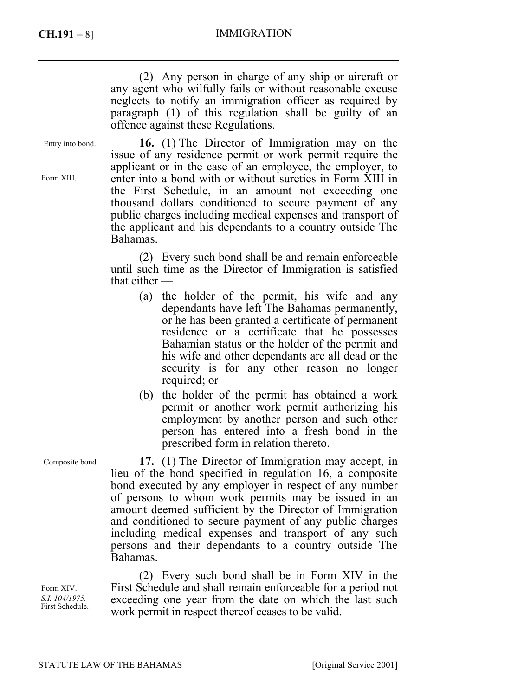### **CH.191 –** 8] IMMIGRATION

(2) Any person in charge of any ship or aircraft or any agent who wilfully fails or without reasonable excuse neglects to notify an immigration officer as required by paragraph (1) of this regulation shall be guilty of an offence against these Regulations.

Entry into bond.

Form XIII.

**16.** (1) The Director of Immigration may on the issue of any residence permit or work permit require the applicant or in the case of an employee, the employer, to enter into a bond with or without sureties in Form XIII in the First Schedule, in an amount not exceeding one thousand dollars conditioned to secure payment of any public charges including medical expenses and transport of the applicant and his dependants to a country outside The Bahamas.

(2) Every such bond shall be and remain enforceable until such time as the Director of Immigration is satisfied that either —

- (a) the holder of the permit, his wife and any dependants have left The Bahamas permanently, or he has been granted a certificate of permanent residence or a certificate that he possesses Bahamian status or the holder of the permit and his wife and other dependants are all dead or the security is for any other reason no longer required; or
- (b) the holder of the permit has obtained a work permit or another work permit authorizing his employment by another person and such other person has entered into a fresh bond in the prescribed form in relation thereto.

**17.** (1) The Director of Immigration may accept, in lieu of the bond specified in regulation 16, a composite bond executed by any employer in respect of any number of persons to whom work permits may be issued in an amount deemed sufficient by the Director of Immigration and conditioned to secure payment of any public charges including medical expenses and transport of any such persons and their dependants to a country outside The Bahamas.

(2) Every such bond shall be in Form XIV in the First Schedule and shall remain enforceable for a period not exceeding one year from the date on which the last such work permit in respect thereof ceases to be valid.

Composite bond.

Form XIV. *S.I. 104/1975.*  First Schedule.

STATUTE LAW OF THE BAHAMAS [Original Service 2001]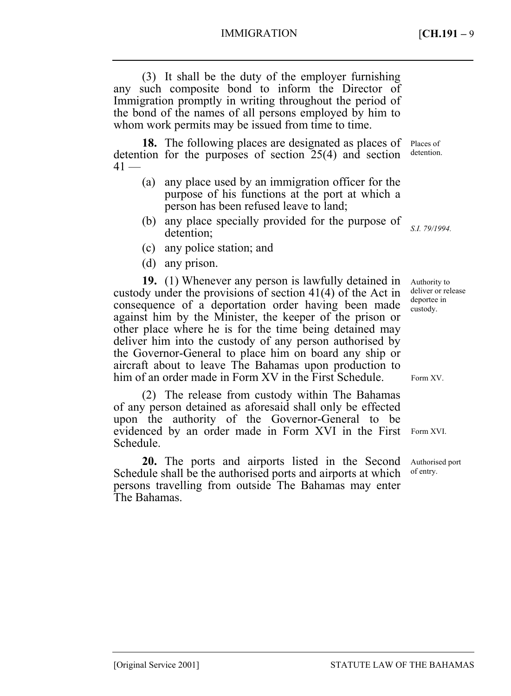(3) It shall be the duty of the employer furnishing any such composite bond to inform the Director of Immigration promptly in writing throughout the period of the bond of the names of all persons employed by him to whom work permits may be issued from time to time.

**18.** The following places are designated as places of detention for the purposes of section 25(4) and section  $41 -$ 

- (a) any place used by an immigration officer for the purpose of his functions at the port at which a person has been refused leave to land;
- (b) any place specially provided for the purpose of detention;
- (c) any police station; and
- (d) any prison.

**19.** (1) Whenever any person is lawfully detained in custody under the provisions of section 41(4) of the Act in consequence of a deportation order having been made against him by the Minister, the keeper of the prison or other place where he is for the time being detained may deliver him into the custody of any person authorised by the Governor-General to place him on board any ship or aircraft about to leave The Bahamas upon production to him of an order made in Form XV in the First Schedule.

(2) The release from custody within The Bahamas of any person detained as aforesaid shall only be effected upon the authority of the Governor-General to be evidenced by an order made in Form XVI in the First Schedule.

**20.** The ports and airports listed in the Second Schedule shall be the authorised ports and airports at which persons travelling from outside The Bahamas may enter The Bahamas.

Places of detention.

*S.I. 79/1994.* 

Authority to deliver or release deportee in custody.

Form XV.

Form XVI.

Authorised port of entry.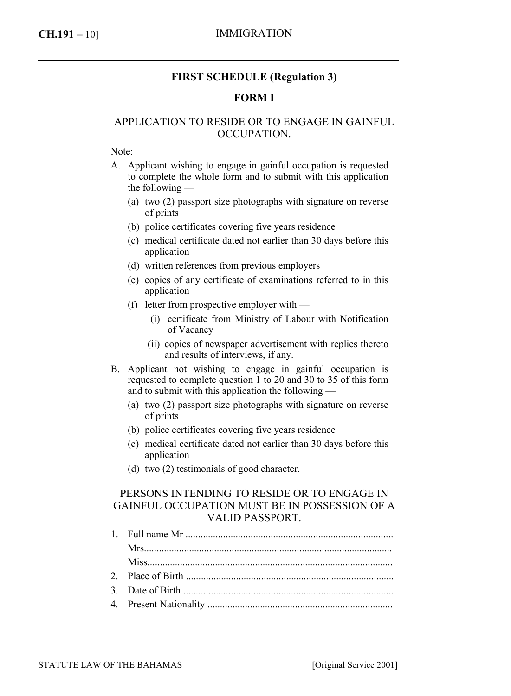### **CH.191 –** 10] IMMIGRATION

### **FIRST SCHEDULE (Regulation 3)**

#### **FORM I**

### APPLICATION TO RESIDE OR TO ENGAGE IN GAINFUL OCCUPATION.

Note:

- A. Applicant wishing to engage in gainful occupation is requested to complete the whole form and to submit with this application the following —
	- (a) two (2) passport size photographs with signature on reverse of prints
	- (b) police certificates covering five years residence
	- (c) medical certificate dated not earlier than 30 days before this application
	- (d) written references from previous employers
	- (e) copies of any certificate of examinations referred to in this application
	- (f) letter from prospective employer with
		- (i) certificate from Ministry of Labour with Notification of Vacancy
		- (ii) copies of newspaper advertisement with replies thereto and results of interviews, if any.
- B. Applicant not wishing to engage in gainful occupation is requested to complete question 1 to 20 and 30 to 35 of this form and to submit with this application the following —
	- (a) two (2) passport size photographs with signature on reverse of prints
	- (b) police certificates covering five years residence
	- (c) medical certificate dated not earlier than 30 days before this application
	- (d) two (2) testimonials of good character.

### PERSONS INTENDING TO RESIDE OR TO ENGAGE IN GAINFUL OCCUPATION MUST BE IN POSSESSION OF A VALID PASSPORT.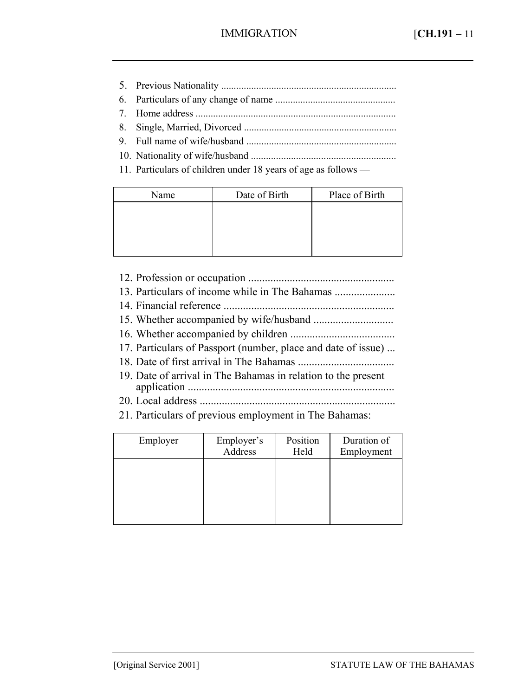- 5. Previous Nationality ...................................................................... 6. Particulars of any change of name ................................................
- 7. Home address ................................................................................
- 8. Single, Married, Divorced .............................................................
- 9. Full name of wife/husband ............................................................
- 10. Nationality of wife/husband ..........................................................
- 11. Particulars of children under 18 years of age as follows —

| Name | Date of Birth | Place of Birth |
|------|---------------|----------------|
|      |               |                |
|      |               |                |
|      |               |                |
|      |               |                |

- 12. Profession or occupation .....................................................
- 13. Particulars of income while in The Bahamas ......................
- 14. Financial reference ..............................................................
- 15. Whether accompanied by wife/husband .............................
- 16. Whether accompanied by children ......................................
- 17. Particulars of Passport (number, place and date of issue) ...
- 18. Date of first arrival in The Bahamas ...................................
- 19. Date of arrival in The Bahamas in relation to the present application ...........................................................................
- 20. Local address .......................................................................
- 21. Particulars of previous employment in The Bahamas:

| Employer | Employer's<br>Address | Position<br>Held | Duration of<br>Employment |
|----------|-----------------------|------------------|---------------------------|
|          |                       |                  |                           |
|          |                       |                  |                           |
|          |                       |                  |                           |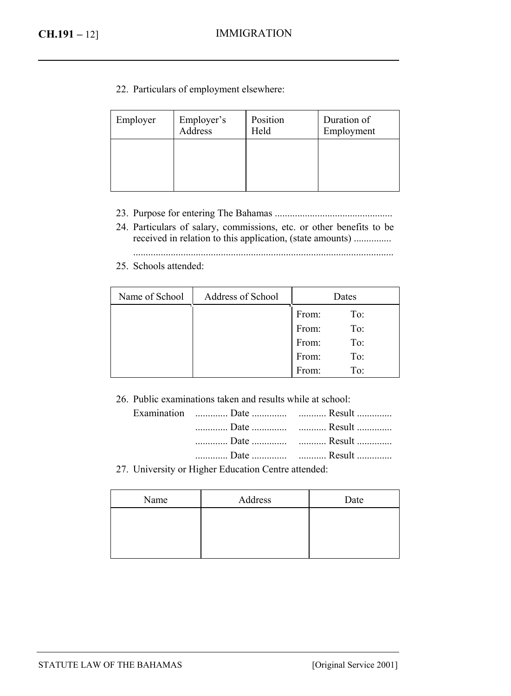22. Particulars of employment elsewhere:

| Employer | Employer's<br>Address | Position<br>Held | Duration of<br>Employment |
|----------|-----------------------|------------------|---------------------------|
|          |                       |                  |                           |
|          |                       |                  |                           |

- 23. Purpose for entering The Bahamas ...............................................
- 24. Particulars of salary, commissions, etc. or other benefits to be received in relation to this application, (state amounts) ...............
	- ........................................................................................................
- 25. Schools attended:

| Name of School | Address of School |       | Dates |
|----------------|-------------------|-------|-------|
|                |                   | From: | To:   |
|                |                   | From: | To:   |
|                |                   | From: | To:   |
|                |                   | From: | To:   |
|                |                   | From: | To:   |

26. Public examinations taken and results while at school:

|  | 27. University or Higher Education Centre attended: |  |
|--|-----------------------------------------------------|--|

Name Address Date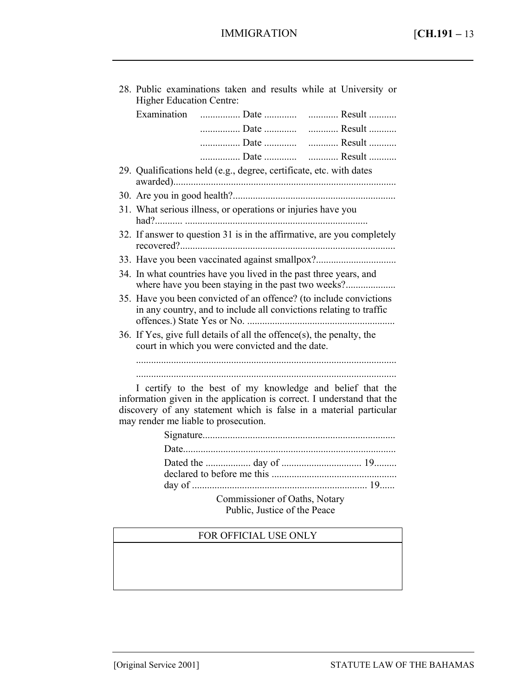| 28. Public examinations taken and results while at University or<br>Higher Education Centre:                                                                                                                                                      |
|---------------------------------------------------------------------------------------------------------------------------------------------------------------------------------------------------------------------------------------------------|
| Examination  Date   Result                                                                                                                                                                                                                        |
| Date  Result                                                                                                                                                                                                                                      |
|                                                                                                                                                                                                                                                   |
|                                                                                                                                                                                                                                                   |
| 29. Qualifications held (e.g., degree, certificate, etc. with dates                                                                                                                                                                               |
|                                                                                                                                                                                                                                                   |
| 31. What serious illness, or operations or injuries have you                                                                                                                                                                                      |
| 32. If answer to question 31 is in the affirmative, are you completely                                                                                                                                                                            |
| 33. Have you been vaccinated against smallpox?                                                                                                                                                                                                    |
| 34. In what countries have you lived in the past three years, and                                                                                                                                                                                 |
| 35. Have you been convicted of an offence? (to include convictions<br>in any country, and to include all convictions relating to traffic                                                                                                          |
| 36. If Yes, give full details of all the offence(s), the penalty, the<br>court in which you were convicted and the date.                                                                                                                          |
|                                                                                                                                                                                                                                                   |
| I certify to the best of my knowledge and belief that the<br>information given in the application is correct. I understand that the<br>discovery of any statement which is false in a material particular<br>may render me liable to prosecution. |
|                                                                                                                                                                                                                                                   |
|                                                                                                                                                                                                                                                   |

Commissioner of Oaths, Notary Public, Justice of the Peace

## FOR OFFICIAL USE ONLY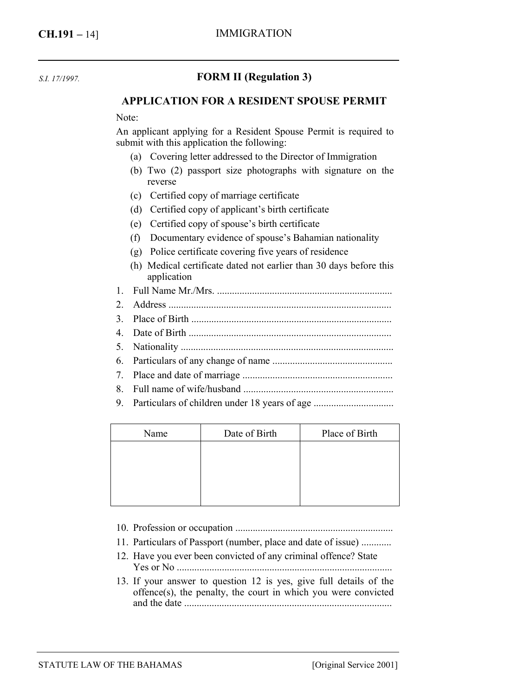*S.I. 17/1997.* 

## **FORM II (Regulation 3)**

#### **APPLICATION FOR A RESIDENT SPOUSE PERMIT**

Note:

An applicant applying for a Resident Spouse Permit is required to submit with this application the following:

- (a) Covering letter addressed to the Director of Immigration
- (b) Two (2) passport size photographs with signature on the reverse
- (c) Certified copy of marriage certificate
- (d) Certified copy of applicant's birth certificate
- (e) Certified copy of spouse's birth certificate
- (f) Documentary evidence of spouse's Bahamian nationality
- (g) Police certificate covering five years of residence
- (h) Medical certificate dated not earlier than 30 days before this application
- 1. Full Name Mr./Mrs. ......................................................................
- 2. Address .........................................................................................
- 3. Place of Birth ................................................................................
- 4. Date of Birth .................................................................................
- 5. Nationality .....................................................................................
- 6. Particulars of any change of name ................................................
- 7. Place and date of marriage ............................................................
- 8. Full name of wife/husband ............................................................
- 9. Particulars of children under 18 years of age ...............................

| Name | Date of Birth | Place of Birth |
|------|---------------|----------------|
|      |               |                |
|      |               |                |
|      |               |                |
|      |               |                |

- 10. Profession or occupation ...............................................................
- 11. Particulars of Passport (number, place and date of issue) ............
- 12. Have you ever been convicted of any criminal offence? State Yes or No ......................................................................................
- 13. If your answer to question 12 is yes, give full details of the offence(s), the penalty, the court in which you were convicted and the date ...................................................................................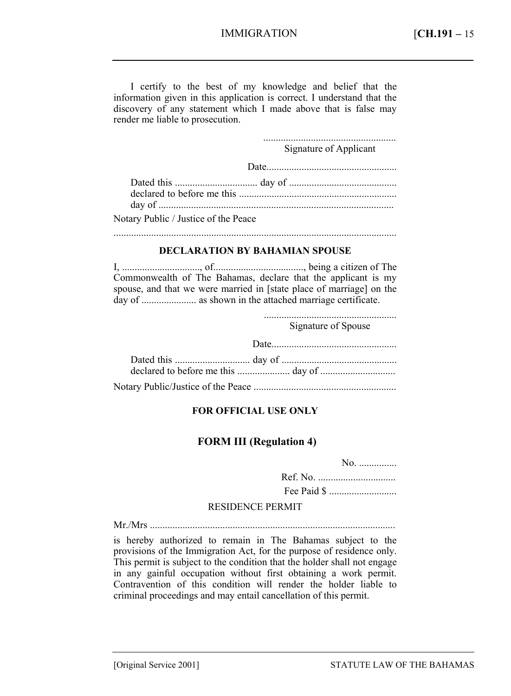I certify to the best of my knowledge and belief that the information given in this application is correct. I understand that the discovery of any statement which I made above that is false may render me liable to prosecution.

> ..................................................... Signature of Applicant

Date....................................................

| Notary Public / Justice of the Peace |  |
|--------------------------------------|--|

.................................................................................................................

#### **DECLARATION BY BAHAMIAN SPOUSE**

I, ..............................., of...................................., being a citizen of The Commonwealth of The Bahamas, declare that the applicant is my spouse, and that we were married in [state place of marriage] on the day of ...................... as shown in the attached marriage certificate.

.....................................................

Signature of Spouse

| Date |
|------|
|      |
|      |
|      |

#### **FOR OFFICIAL USE ONLY**

#### **FORM III (Regulation 4)**

No. ...............

Ref. No. ............................... Fee Paid \$ ...........................

#### RESIDENCE PERMIT

Mr./Mrs ..................................................................................................

is hereby authorized to remain in The Bahamas subject to the provisions of the Immigration Act, for the purpose of residence only. This permit is subject to the condition that the holder shall not engage in any gainful occupation without first obtaining a work permit. Contravention of this condition will render the holder liable to criminal proceedings and may entail cancellation of this permit.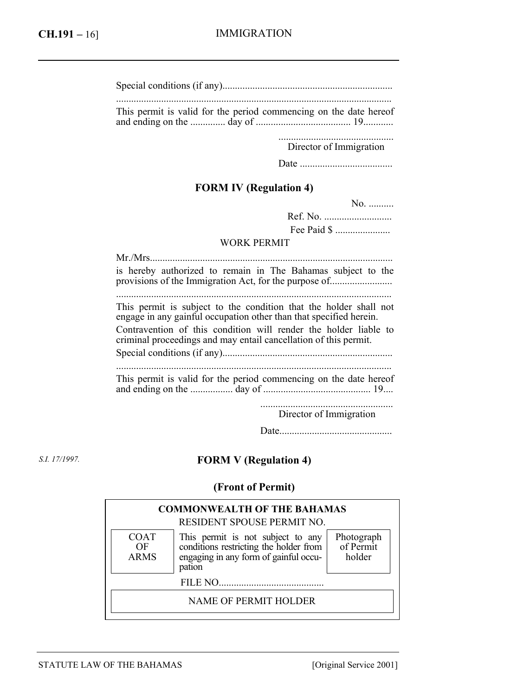|  |  | This permit is valid for the period commencing on the date hereof |  |  |
|--|--|-------------------------------------------------------------------|--|--|

and ending on the .............. day of ...................................... 19............

.............................................. Director of Immigration

Date .....................................

## **FORM IV (Regulation 4)**

No. ..........

Ref. No. ........................... Fee Paid \$ ......................

#### WORK PERMIT

| is hereby authorized to remain in The Bahamas subject to the<br>provisions of the Immigration Act, for the purpose of                   |
|-----------------------------------------------------------------------------------------------------------------------------------------|
| This permit is subject to the condition that the holder shall not<br>engage in any gainful occupation other than that specified herein. |
| Contravention of this condition will render the holder liable to<br>criminal proceedings and may entail cancellation of this permit.    |
|                                                                                                                                         |
| This permit is valid for the period commencing on the date hereof                                                                       |
| Director of Immigration                                                                                                                 |

Date.............................................

*S.I. 17/1997.* 

## **FORM V (Regulation 4)**

### **(Front of Permit)**

|                                  | <b>COMMONWEALTH OF THE BAHAMAS</b><br>RESIDENT SPOUSE PERMIT NO.                                                            |                                   |
|----------------------------------|-----------------------------------------------------------------------------------------------------------------------------|-----------------------------------|
| <b>COAT</b><br>OF<br><b>ARMS</b> | This permit is not subject to any conditions restricting the holder from<br>engaging in any form of gainful occu-<br>pation | Photograph<br>of Permit<br>holder |
|                                  | FILE NO                                                                                                                     |                                   |
|                                  | NAME OF PERMIT HOLDER                                                                                                       |                                   |
|                                  |                                                                                                                             |                                   |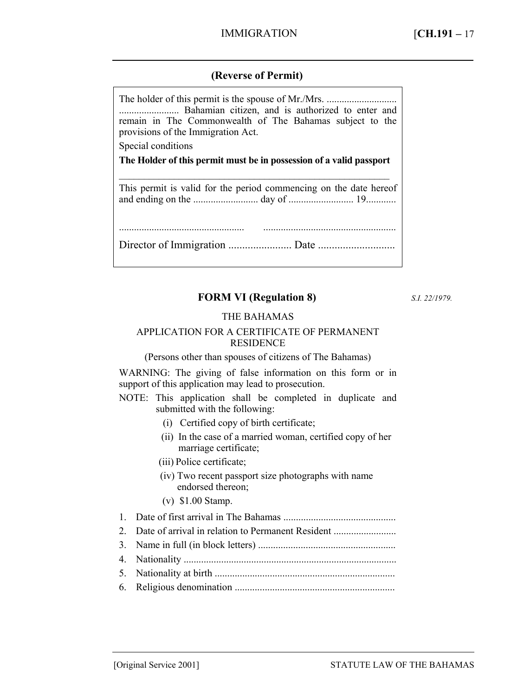## **(Reverse of Permit)**

| remain in The Commonwealth of The Bahamas subject to the<br>provisions of the Immigration Act. |  |  |
|------------------------------------------------------------------------------------------------|--|--|
| Special conditions                                                                             |  |  |
| The Holder of this permit must be in possession of a valid passport                            |  |  |
| This permit is valid for the period commencing on the date hereof                              |  |  |
|                                                                                                |  |  |

## **FORM VI (Regulation 8)**

*S.I. 22/1979.* 

#### THE BAHAMAS

#### APPLICATION FOR A CERTIFICATE OF PERMANENT RESIDENCE

(Persons other than spouses of citizens of The Bahamas)

WARNING: The giving of false information on this form or in support of this application may lead to prosecution.

NOTE: This application shall be completed in duplicate and submitted with the following:

- (i) Certified copy of birth certificate;
- (ii) In the case of a married woman, certified copy of her marriage certificate;
- (iii) Police certificate;
- (iv) Two recent passport size photographs with name endorsed thereon;
- (v) \$1.00 Stamp.

1. Date of first arrival in The Bahamas .............................................

- 2. Date of arrival in relation to Permanent Resident ...........................
- 3. Name in full (in block letters) .......................................................
- 4. Nationality .....................................................................................
- 5. Nationality at birth ........................................................................
- 6. Religious denomination ................................................................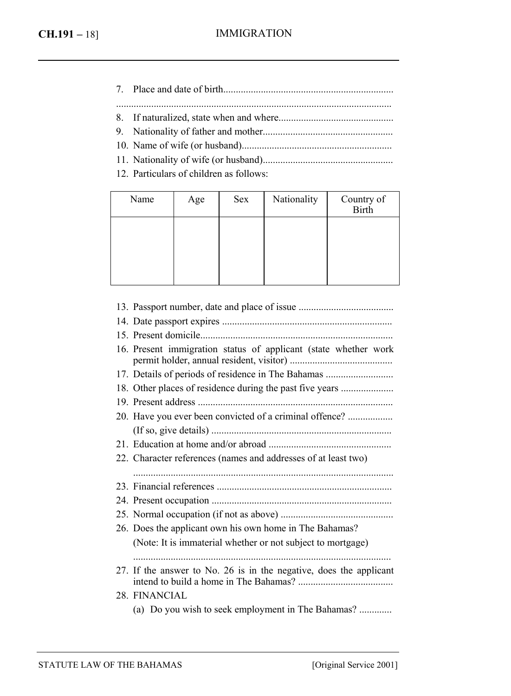- 7. Place and date of birth.................................................................... ..............................................................................................................
- 8. If naturalized, state when and where..............................................
- 9. Nationality of father and mother....................................................
- 10. Name of wife (or husband)............................................................
- 11. Nationality of wife (or husband)....................................................
- 12. Particulars of children as follows:

| Name | Age | Sex | Nationality | Country of<br>Birth |
|------|-----|-----|-------------|---------------------|
|      |     |     |             |                     |
|      |     |     |             |                     |
|      |     |     |             |                     |

| 16. Present immigration status of applicant (state whether work    |
|--------------------------------------------------------------------|
| 17. Details of periods of residence in The Bahamas                 |
| 18. Other places of residence during the past five years           |
|                                                                    |
| 20. Have you ever been convicted of a criminal offence?            |
|                                                                    |
|                                                                    |
| 22. Character references (names and addresses of at least two)     |
|                                                                    |
|                                                                    |
|                                                                    |
|                                                                    |
| 26. Does the applicant own his own home in The Bahamas?            |
| (Note: It is immaterial whether or not subject to mortgage)        |
|                                                                    |
| 27. If the answer to No. 26 is in the negative, does the applicant |
| 28. FINANCIAL                                                      |
| (a) Do you wish to seek employment in The Bahamas?                 |
|                                                                    |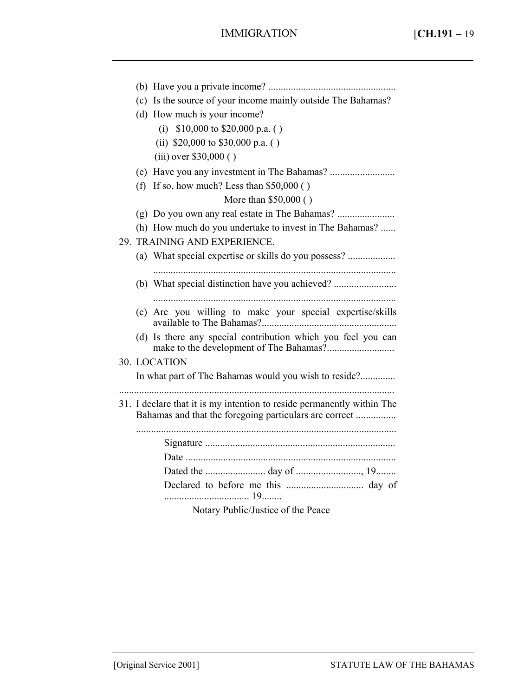|  | (c) Is the source of your income mainly outside The Bahamas?                                                                      |
|--|-----------------------------------------------------------------------------------------------------------------------------------|
|  | (d) How much is your income?                                                                                                      |
|  | (i) $$10,000$ to $$20,000$ p.a. ()                                                                                                |
|  | (ii) $$20,000$ to $$30,000$ p.a. ()                                                                                               |
|  | $(iii)$ over \$30,000 ()                                                                                                          |
|  |                                                                                                                                   |
|  | (f) If so, how much? Less than $$50,000$ ()                                                                                       |
|  | More than \$50,000 ()                                                                                                             |
|  |                                                                                                                                   |
|  | (h) How much do you undertake to invest in The Bahamas?                                                                           |
|  | 29. TRAINING AND EXPERIENCE.                                                                                                      |
|  | (a) What special expertise or skills do you possess?                                                                              |
|  |                                                                                                                                   |
|  | (b) What special distinction have you achieved?                                                                                   |
|  |                                                                                                                                   |
|  | (c) Are you willing to make your special expertise/skills                                                                         |
|  | (d) Is there any special contribution which you feel you can                                                                      |
|  |                                                                                                                                   |
|  | 30. LOCATION                                                                                                                      |
|  | In what part of The Bahamas would you wish to reside?                                                                             |
|  |                                                                                                                                   |
|  | 31. I declare that it is my intention to reside permanently within The                                                            |
|  | Bahamas and that the foregoing particulars are correct                                                                            |
|  |                                                                                                                                   |
|  |                                                                                                                                   |
|  |                                                                                                                                   |
|  |                                                                                                                                   |
|  |                                                                                                                                   |
|  | $\mathbf{v}$ $\mathbf{v}$ $\mathbf{v}$ $\mathbf{v}$ $\mathbf{v}$ $\mathbf{v}$ $\mathbf{v}$ $\mathbf{v}$ $\mathbf{v}$ $\mathbf{v}$ |

Notary Public/Justice of the Peace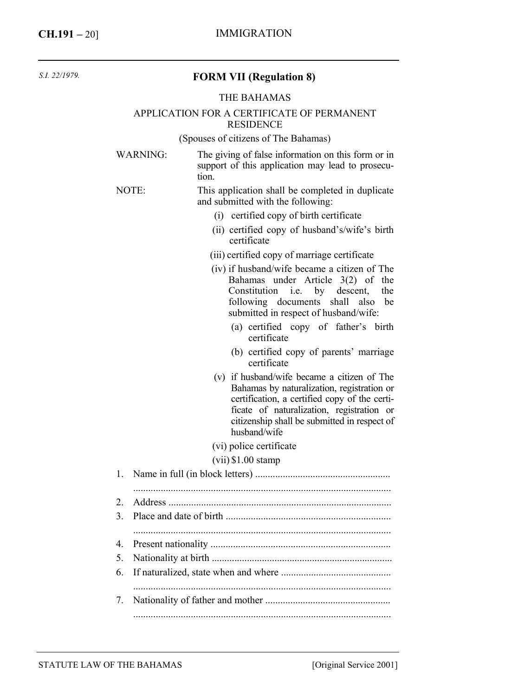| S.I. 22/1979. |  |
|---------------|--|
|               |  |

#### **FORM VII (Regulation 8)**

#### THE BAHAMAS

#### APPLICATION FOR A CERTIFICATE OF PERMANENT **RESIDENCE**

(Spouses of citizens of The Bahamas)

| WARNING: | The giving of false information on this form or in        |
|----------|-----------------------------------------------------------|
|          | support of this application may lead to prosecu-<br>tion. |
|          |                                                           |

#### NOTE: This application shall be completed in duplicate and submitted with the following:

- (i) certified copy of birth certificate
- (ii) certified copy of husband's/wife's birth certificate
- (iii) certified copy of marriage certificate
- (iv) if husband/wife became a citizen of The Bahamas under Article 3(2) of the Constitution i.e. by descent, the following documents shall also be submitted in respect of husband/wife:
	- (a) certified copy of father's birth certificate
	- (b) certified copy of parents' marriage certificate
- (v) if husband/wife became a citizen of The Bahamas by naturalization, registration or certification, a certified copy of the certificate of naturalization, registration or citizenship shall be submitted in respect of husband/wife
- (vi) police certificate
- (vii) \$1.00 stamp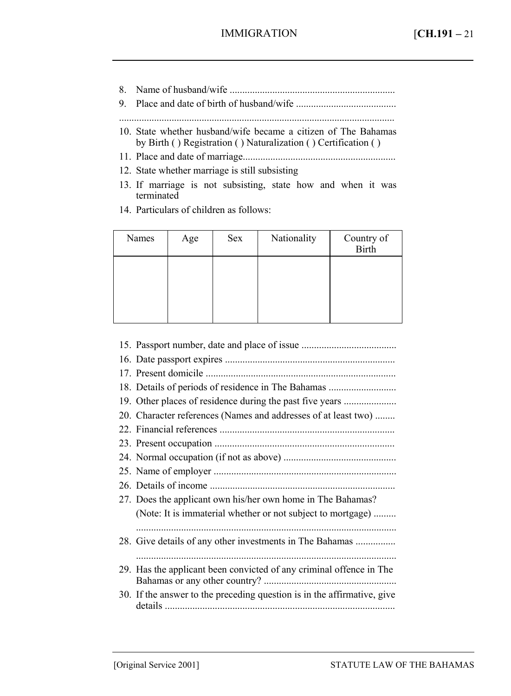- 8. Name of husband/wife ..................................................................
- 9. Place and date of birth of husband/wife ........................................
- ..............................................................................................................
- 10. State whether husband/wife became a citizen of The Bahamas by Birth ( ) Registration ( ) Naturalization ( ) Certification ( )
- 11. Place and date of marriage.............................................................
- 12. State whether marriage is still subsisting
- 13. If marriage is not subsisting, state how and when it was terminated
- 14. Particulars of children as follows:

| Names | Age | Sex | Nationality | Country of<br><b>Birth</b> |
|-------|-----|-----|-------------|----------------------------|
|       |     |     |             |                            |
|       |     |     |             |                            |
|       |     |     |             |                            |

15. Passport number, date and place of issue ...................................... 16. Date passport expires .................................................................... 17. Present domicile ............................................................................ 18. Details of periods of residence in The Bahamas ........................... 19. Other places of residence during the past five years ........................ 20. Character references (Names and addresses of at least two) ........ 22. Financial references ...................................................................... 23. Present occupation ........................................................................ 24. Normal occupation (if not as above) ............................................. 25. Name of employer ......................................................................... 26. Details of income .......................................................................... 27. Does the applicant own his/her own home in The Bahamas? (Note: It is immaterial whether or not subject to mortgage) ......... ........................................................................................................ 28. Give details of any other investments in The Bahamas ................ ........................................................................................................ 29. Has the applicant been convicted of any criminal offence in The Bahamas or any other country? ..................................................... 30. If the answer to the preceding question is in the affirmative, give details ............................................................................................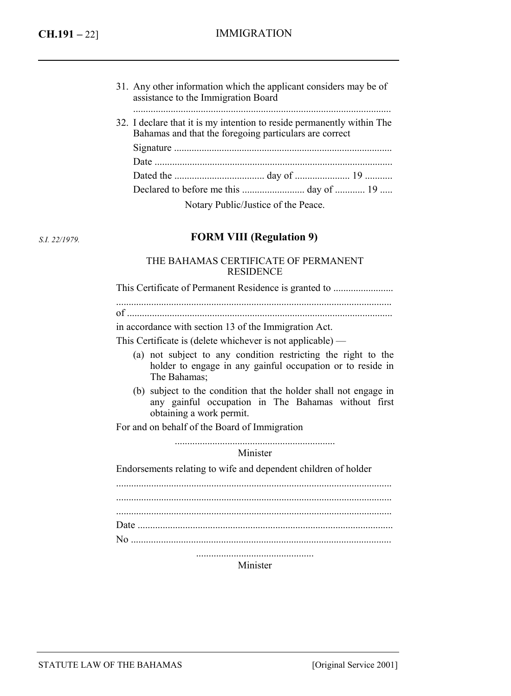| 31. Any other information which the applicant considers may be of |
|-------------------------------------------------------------------|
| assistance to the Immigration Board                               |
|                                                                   |

32. I declare that it is my intention to reside permanently within The Bahamas and that the foregoing particulars are correct Signature ....................................................................................... Date ............................................................................................... Dated the .................................... day of ...................... 19 ........... Declared to before me this ......................... day of ............ 19 .....

Notary Public/Justice of the Peace.

*S.I. 22/1979.* 

### **FORM VIII (Regulation 9)**

#### THE BAHAMAS CERTIFICATE OF PERMANENT **RESIDENCE**

This Certificate of Permanent Residence is granted to ...........................

..............................................................................................................

of .......................................................................................................... in accordance with section 13 of the Immigration Act.

This Certificate is (delete whichever is not applicable) —

- (a) not subject to any condition restricting the right to the holder to engage in any gainful occupation or to reside in The Bahamas;
- (b) subject to the condition that the holder shall not engage in any gainful occupation in The Bahamas without first obtaining a work permit.

For and on behalf of the Board of Immigration

................................................................

Minister

Endorsements relating to wife and dependent children of holder

Minister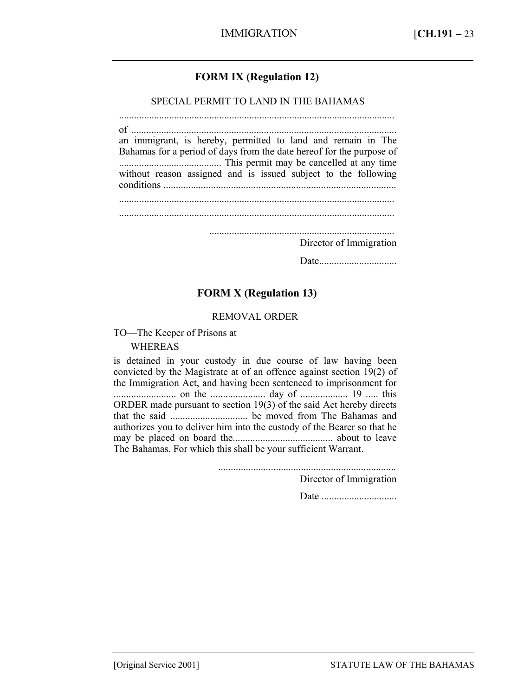## **FORM IX (Regulation 12)**

SPECIAL PERMIT TO LAND IN THE BAHAMAS

.............................................................................................................. of .......................................................................................................... an immigrant, is hereby, permitted to land and remain in The Bahamas for a period of days from the date hereof for the purpose of ......................................... This permit may be cancelled at any time without reason assigned and is issued subject to the following conditions ............................................................................................. .............................................................................................................. ..........................................................................

Director of Immigration

Date...............................

### **FORM X (Regulation 13)**

#### REMOVAL ORDER

TO—The Keeper of Prisons at

WHEREAS

is detained in your custody in due course of law having been convicted by the Magistrate at of an offence against section 19(2) of the Immigration Act, and having been sentenced to imprisonment for ......................... on the ...................... day of ................... 19 ..... this ORDER made pursuant to section 19(3) of the said Act hereby directs that the said ............................... be moved from The Bahamas and authorizes you to deliver him into the custody of the Bearer so that he may be placed on board the........................................ about to leave The Bahamas. For which this shall be your sufficient Warrant.

.......................................................................

Director of Immigration

Date ..............................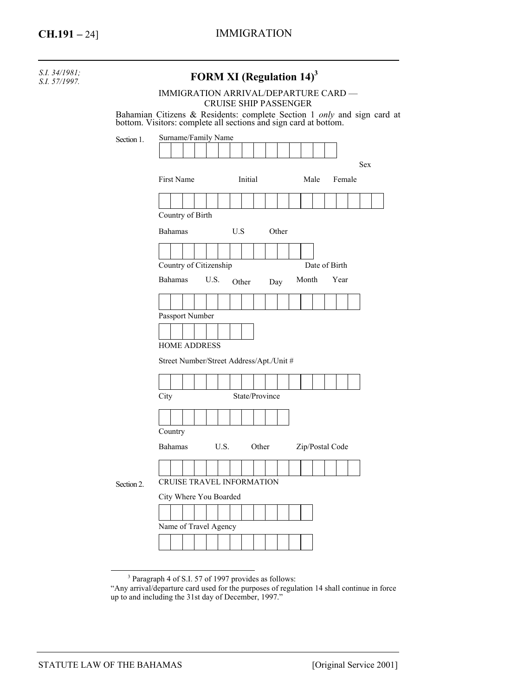| S.I. 34/1981;<br>S.I. 57/1997. |                                      | <b>FORM XI (Regulation 14)</b> <sup>3</sup>                                                                                                                                     |  |  |  |  |  |  |  |  |  |  |
|--------------------------------|--------------------------------------|---------------------------------------------------------------------------------------------------------------------------------------------------------------------------------|--|--|--|--|--|--|--|--|--|--|
|                                | IMMIGRATION ARRIVAL/DEPARTURE CARD - |                                                                                                                                                                                 |  |  |  |  |  |  |  |  |  |  |
|                                |                                      | <b>CRUISE SHIP PASSENGER</b><br>Bahamian Citizens & Residents: complete Section 1 <i>only</i> and sign card at bottom. Visitors: complete all sections and sign card at bottom. |  |  |  |  |  |  |  |  |  |  |
|                                |                                      |                                                                                                                                                                                 |  |  |  |  |  |  |  |  |  |  |
|                                | Section 1.                           | Surname/Family Name                                                                                                                                                             |  |  |  |  |  |  |  |  |  |  |
|                                |                                      | Sex                                                                                                                                                                             |  |  |  |  |  |  |  |  |  |  |
|                                |                                      | First Name<br>Initial<br>Male<br>Female                                                                                                                                         |  |  |  |  |  |  |  |  |  |  |
|                                |                                      |                                                                                                                                                                                 |  |  |  |  |  |  |  |  |  |  |
|                                |                                      | Country of Birth                                                                                                                                                                |  |  |  |  |  |  |  |  |  |  |
|                                |                                      | Bahamas<br>U.S<br>Other                                                                                                                                                         |  |  |  |  |  |  |  |  |  |  |
|                                |                                      |                                                                                                                                                                                 |  |  |  |  |  |  |  |  |  |  |
|                                |                                      | Country of Citizenship<br>Date of Birth                                                                                                                                         |  |  |  |  |  |  |  |  |  |  |
|                                |                                      | Bahamas<br>U.S.<br>Month<br>Year<br>Other<br>Day                                                                                                                                |  |  |  |  |  |  |  |  |  |  |
|                                |                                      |                                                                                                                                                                                 |  |  |  |  |  |  |  |  |  |  |
|                                |                                      | Passport Number                                                                                                                                                                 |  |  |  |  |  |  |  |  |  |  |
|                                |                                      |                                                                                                                                                                                 |  |  |  |  |  |  |  |  |  |  |
|                                |                                      | <b>HOME ADDRESS</b>                                                                                                                                                             |  |  |  |  |  |  |  |  |  |  |
|                                |                                      | Street Number/Street Address/Apt./Unit #                                                                                                                                        |  |  |  |  |  |  |  |  |  |  |
|                                |                                      |                                                                                                                                                                                 |  |  |  |  |  |  |  |  |  |  |
|                                |                                      | State/Province<br>City                                                                                                                                                          |  |  |  |  |  |  |  |  |  |  |
|                                |                                      |                                                                                                                                                                                 |  |  |  |  |  |  |  |  |  |  |
|                                |                                      | Country                                                                                                                                                                         |  |  |  |  |  |  |  |  |  |  |
|                                |                                      | U.S.<br>Other<br>Zip/Postal Code<br><b>Bahamas</b>                                                                                                                              |  |  |  |  |  |  |  |  |  |  |
|                                |                                      |                                                                                                                                                                                 |  |  |  |  |  |  |  |  |  |  |
|                                | Section 2.                           | <b>CRUISE TRAVEL INFORMATION</b>                                                                                                                                                |  |  |  |  |  |  |  |  |  |  |
|                                |                                      | City Where You Boarded                                                                                                                                                          |  |  |  |  |  |  |  |  |  |  |
|                                |                                      |                                                                                                                                                                                 |  |  |  |  |  |  |  |  |  |  |
|                                |                                      | Name of Travel Agency                                                                                                                                                           |  |  |  |  |  |  |  |  |  |  |
|                                |                                      |                                                                                                                                                                                 |  |  |  |  |  |  |  |  |  |  |

<sup>&</sup>lt;sup>3</sup> Paragraph 4 of S.I. 57 of 1997 provides as follows:

<sup>&</sup>quot;Any arrival/departure card used for the purposes of regulation 14 shall continue in force up to and including the 31st day of December, 1997."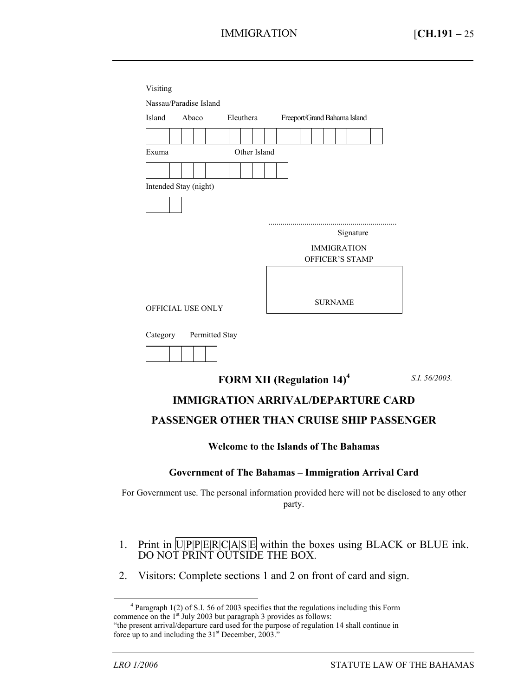|                       | Abaco          |  | Eleuthera |              |  |  |                | Freeport/Grand Bahama Island |  |
|-----------------------|----------------|--|-----------|--------------|--|--|----------------|------------------------------|--|
|                       |                |  |           |              |  |  |                |                              |  |
| Exuma                 |                |  |           | Other Island |  |  |                |                              |  |
|                       |                |  |           |              |  |  |                |                              |  |
|                       |                |  |           |              |  |  |                |                              |  |
| Intended Stay (night) |                |  |           |              |  |  |                |                              |  |
|                       |                |  |           |              |  |  |                |                              |  |
|                       |                |  |           |              |  |  |                |                              |  |
|                       |                |  |           |              |  |  |                |                              |  |
|                       |                |  |           |              |  |  |                |                              |  |
|                       |                |  |           |              |  |  |                | Signature                    |  |
|                       |                |  |           |              |  |  |                | <b>IMMIGRATION</b>           |  |
|                       |                |  |           |              |  |  |                | <b>OFFICER'S STAMP</b>       |  |
|                       |                |  |           |              |  |  |                |                              |  |
|                       |                |  |           |              |  |  |                |                              |  |
| OFFICIAL USE ONLY     |                |  |           |              |  |  | <b>SURNAME</b> |                              |  |
|                       |                |  |           |              |  |  |                |                              |  |
|                       |                |  |           |              |  |  |                |                              |  |
| Category              | Permitted Stay |  |           |              |  |  |                |                              |  |

*S.I. 56/2003.* 

## **IMMIGRATION ARRIVAL/DEPARTURE CARD**

#### **PASSENGER OTHER THAN CRUISE SHIP PASSENGER**

#### **Welcome to the Islands of The Bahamas**

#### **Government of The Bahamas – Immigration Arrival Card**

For Government use. The personal information provided here will not be disclosed to any other party.

- 1. Print in  $\overline{U|P|P|E|R|C|A|S|E}$  within the boxes using BLACK or BLUE ink. DO NOT PRINT OUTSIDE THE BOX.
- 2. Visitors: Complete sections 1 and 2 on front of card and sign.

 $\overline{a}$ 

**<sup>4</sup>** Paragraph 1(2) of S.I. 56 of 2003 specifies that the regulations including this Form commence on the  $1<sup>st</sup>$  July 2003 but paragraph 3 provides as follows: "the present arrival/departure card used for the purpose of regulation 14 shall continue in

force up to and including the  $31<sup>st</sup>$  December,  $2003.^"$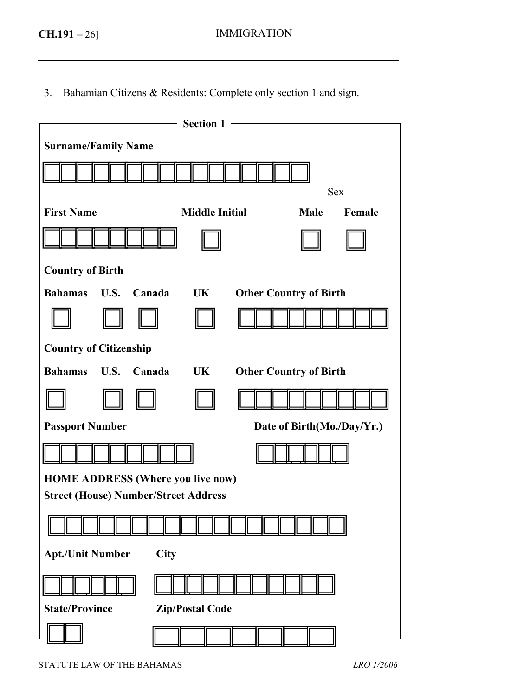3. Bahamian Citizens & Residents: Complete only section 1 and sign.

|                                             | - Section 1            |                               |
|---------------------------------------------|------------------------|-------------------------------|
| <b>Surname/Family Name</b>                  |                        |                               |
|                                             |                        |                               |
|                                             |                        | <b>Sex</b>                    |
| <b>First Name</b>                           | <b>Middle Initial</b>  | Male<br>Female                |
|                                             |                        |                               |
| <b>Country of Birth</b>                     |                        |                               |
| U.S.<br><b>Bahamas</b><br>Canada            | UK                     | <b>Other Country of Birth</b> |
|                                             |                        |                               |
| <b>Country of Citizenship</b>               |                        |                               |
| <b>Bahamas</b><br>U.S.<br>Canada            | UK                     | <b>Other Country of Birth</b> |
|                                             |                        |                               |
| <b>Passport Number</b>                      |                        | Date of Birth(Mo./Day/Yr.)    |
|                                             |                        |                               |
| <b>HOME ADDRESS (Where you live now)</b>    |                        |                               |
| <b>Street (House) Number/Street Address</b> |                        |                               |
|                                             |                        |                               |
| <b>Apt./Unit Number</b><br>City             |                        |                               |
|                                             |                        |                               |
| <b>State/Province</b>                       | <b>Zip/Postal Code</b> |                               |
|                                             |                        |                               |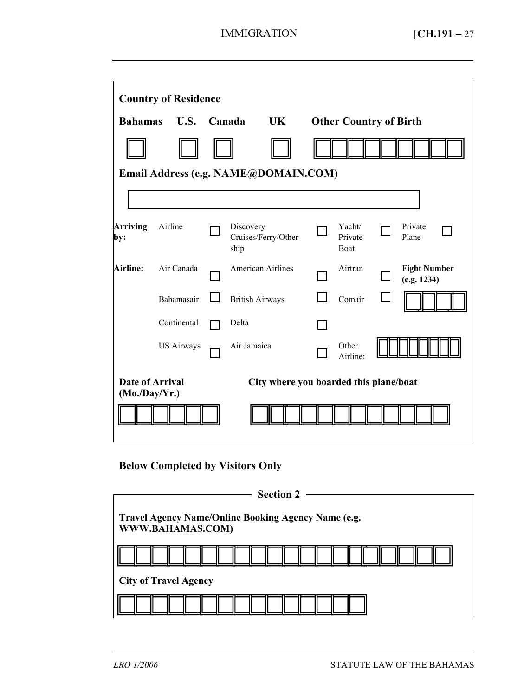| <b>Country of Residence</b>         |                                      |                                        |                                          |     |  |                               |  |                                    |  |
|-------------------------------------|--------------------------------------|----------------------------------------|------------------------------------------|-----|--|-------------------------------|--|------------------------------------|--|
| <b>Bahamas</b>                      | U.S.                                 |                                        | Canada                                   | UK. |  | <b>Other Country of Birth</b> |  |                                    |  |
|                                     |                                      |                                        |                                          |     |  |                               |  |                                    |  |
|                                     | Email Address (e.g. NAME@DOMAIN.COM) |                                        |                                          |     |  |                               |  |                                    |  |
|                                     |                                      |                                        |                                          |     |  |                               |  |                                    |  |
| <b>Arriving</b><br>by:              | Airline                              |                                        | Discovery<br>Cruises/Ferry/Other<br>ship |     |  | Yacht/<br>Private<br>Boat     |  | Private<br>Plane                   |  |
| <b>Airline:</b>                     | Air Canada                           |                                        | <b>American Airlines</b>                 |     |  | Airtran                       |  | <b>Fight Number</b><br>(e.g. 1234) |  |
|                                     | Bahamasair                           |                                        | <b>British Airways</b>                   |     |  | Comair                        |  |                                    |  |
|                                     | Continental                          |                                        | Delta                                    |     |  |                               |  |                                    |  |
|                                     | <b>US Airways</b>                    |                                        | Air Jamaica                              |     |  | Other<br>Airline:             |  |                                    |  |
| Date of Arrival<br>$(Mo$ ./Day/Yr.) |                                      | City where you boarded this plane/boat |                                          |     |  |                               |  |                                    |  |
|                                     |                                      |                                        |                                          |     |  |                               |  |                                    |  |

# **Below Completed by Visitors Only**

| Section $2 -$                                                           |  |  |  |  |  |  |  |  |
|-------------------------------------------------------------------------|--|--|--|--|--|--|--|--|
| Travel Agency Name/Online Booking Agency Name (e.g.<br>WWW.BAHAMAS.COM) |  |  |  |  |  |  |  |  |
|                                                                         |  |  |  |  |  |  |  |  |
| <b>City of Travel Agency</b>                                            |  |  |  |  |  |  |  |  |
|                                                                         |  |  |  |  |  |  |  |  |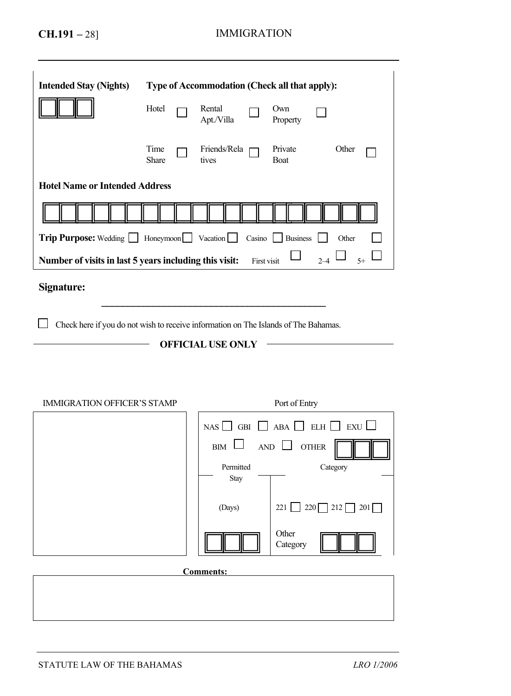| <b>Intended Stay (Nights)</b>                                                       |               |  | Type of Accommodation (Check all that apply):       |             |                                                                |                                                   |  |  |  |
|-------------------------------------------------------------------------------------|---------------|--|-----------------------------------------------------|-------------|----------------------------------------------------------------|---------------------------------------------------|--|--|--|
|                                                                                     | Hotel         |  | Rental<br>Apt./Villa                                |             | Own<br>Property                                                |                                                   |  |  |  |
|                                                                                     | Time<br>Share |  | Friends/Rela<br>tives                               |             | Private<br>Boat                                                | Other                                             |  |  |  |
| <b>Hotel Name or Intended Address</b>                                               |               |  |                                                     |             |                                                                |                                                   |  |  |  |
|                                                                                     |               |  |                                                     |             |                                                                |                                                   |  |  |  |
| Trip Purpose: Wedding Honeymoon Vacation                                            |               |  |                                                     |             | Casino Business                                                | Other                                             |  |  |  |
| Number of visits in last 5 years including this visit:                              |               |  |                                                     | First visit |                                                                | $2 - 4$<br>$5+$                                   |  |  |  |
| Signature:                                                                          |               |  |                                                     |             |                                                                |                                                   |  |  |  |
| Check here if you do not wish to receive information on The Islands of The Bahamas. |               |  |                                                     |             |                                                                |                                                   |  |  |  |
|                                                                                     |               |  | <b>OFFICIAL USE ONLY</b>                            |             |                                                                |                                                   |  |  |  |
| <b>IMMIGRATION OFFICER'S STAMP</b>                                                  |               |  |                                                     |             | Port of Entry                                                  |                                                   |  |  |  |
|                                                                                     |               |  | NAS <sup>[</sup><br><b>BIM</b><br>Permitted<br>Stay |             | GBI $\Box$ ABA $\Box$ ELH<br>$AND$ $\lfloor$<br>$\blacksquare$ | EXU L<br>$\mathbf{I}$<br><b>OTHER</b><br>Category |  |  |  |
|                                                                                     |               |  | (Days)                                              |             | 221                                                            | $220 \square 212$<br>201                          |  |  |  |
|                                                                                     |               |  |                                                     |             | Other<br>Category                                              |                                                   |  |  |  |
|                                                                                     |               |  | <b>Comments:</b>                                    |             |                                                                |                                                   |  |  |  |
|                                                                                     |               |  |                                                     |             |                                                                |                                                   |  |  |  |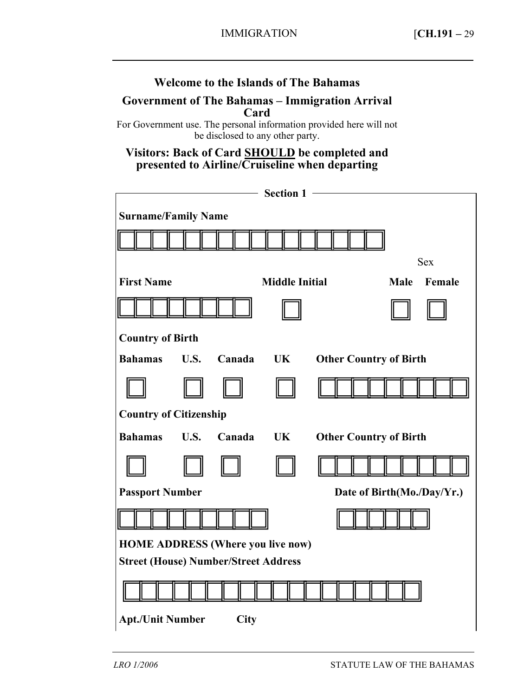## **Welcome to the Islands of The Bahamas**

### **Government of The Bahamas – Immigration Arrival Card**

For Government use. The personal information provided here will not be disclosed to any other party.

## **Visitors: Back of Card SHOULD be completed and presented to Airline/Cruiseline when departing**

|                                             |             |             | Section 1 -           |                               |  |  |  |  |  |
|---------------------------------------------|-------------|-------------|-----------------------|-------------------------------|--|--|--|--|--|
| <b>Surname/Family Name</b>                  |             |             |                       |                               |  |  |  |  |  |
|                                             |             |             |                       |                               |  |  |  |  |  |
|                                             |             |             |                       | <b>Sex</b>                    |  |  |  |  |  |
| <b>First Name</b>                           |             |             | <b>Middle Initial</b> | <b>Male</b><br>Female         |  |  |  |  |  |
|                                             |             |             |                       |                               |  |  |  |  |  |
| <b>Country of Birth</b>                     |             |             |                       |                               |  |  |  |  |  |
| <b>Bahamas</b>                              | U.S.        | Canada      | UK                    | <b>Other Country of Birth</b> |  |  |  |  |  |
|                                             |             |             |                       |                               |  |  |  |  |  |
| <b>Country of Citizenship</b>               |             |             |                       |                               |  |  |  |  |  |
| <b>Bahamas</b>                              | <b>U.S.</b> | Canada      | <b>UK</b>             | <b>Other Country of Birth</b> |  |  |  |  |  |
|                                             |             |             |                       |                               |  |  |  |  |  |
| <b>Passport Number</b>                      |             |             |                       | Date of Birth(Mo./Day/Yr.)    |  |  |  |  |  |
|                                             |             |             |                       |                               |  |  |  |  |  |
| <b>HOME ADDRESS (Where you live now)</b>    |             |             |                       |                               |  |  |  |  |  |
| <b>Street (House) Number/Street Address</b> |             |             |                       |                               |  |  |  |  |  |
|                                             |             |             |                       |                               |  |  |  |  |  |
| <b>Apt./Unit Number</b>                     |             | <b>City</b> |                       |                               |  |  |  |  |  |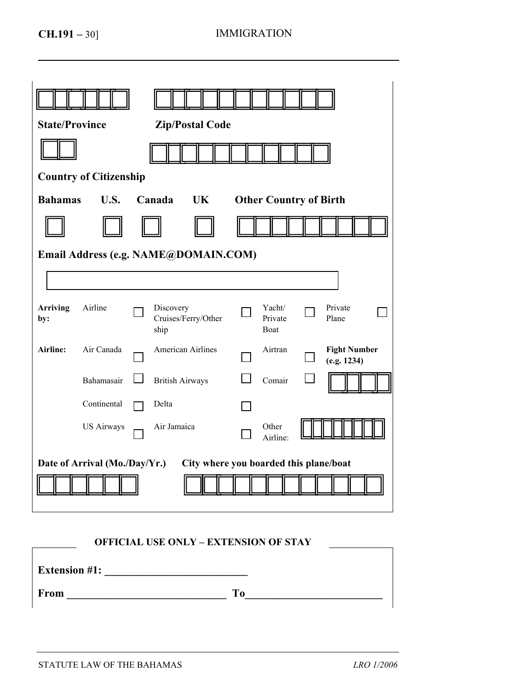| <b>State/Province</b><br><b>Zip/Postal Code</b> |  |  |  |  |  |  |  |  |  |  |
|-------------------------------------------------|--|--|--|--|--|--|--|--|--|--|
|                                                 |  |  |  |  |  |  |  |  |  |  |
|                                                 |  |  |  |  |  |  |  |  |  |  |
|                                                 |  |  |  |  |  |  |  |  |  |  |
|                                                 |  |  |  |  |  |  |  |  |  |  |
|                                                 |  |  |  |  |  |  |  |  |  |  |
|                                                 |  |  |  |  |  |  |  |  |  |  |
|                                                 |  |  |  |  |  |  |  |  |  |  |
| <b>Fight Number</b>                             |  |  |  |  |  |  |  |  |  |  |
|                                                 |  |  |  |  |  |  |  |  |  |  |
|                                                 |  |  |  |  |  |  |  |  |  |  |
|                                                 |  |  |  |  |  |  |  |  |  |  |
|                                                 |  |  |  |  |  |  |  |  |  |  |
|                                                 |  |  |  |  |  |  |  |  |  |  |
|                                                 |  |  |  |  |  |  |  |  |  |  |

#### **OFFICIAL USE ONLY – EXTENSION OF STAY**

| <b>Extension #1:</b> |    |
|----------------------|----|
| From                 | To |

 $\Gamma$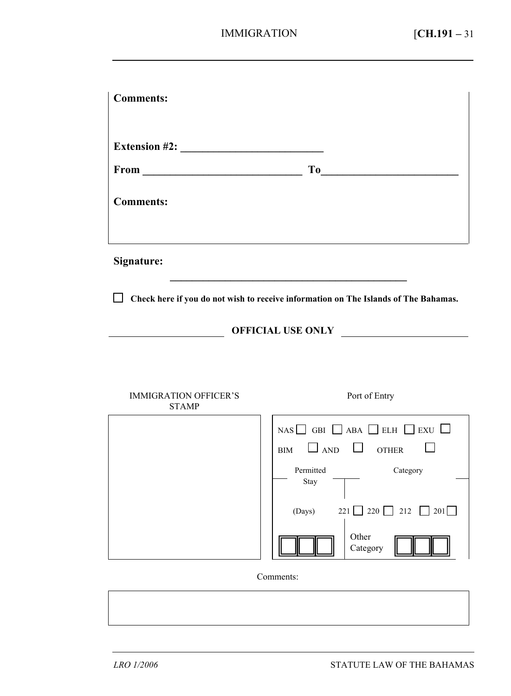| <b>Comments:</b>                             |                                                                                                                                                                                                                                |
|----------------------------------------------|--------------------------------------------------------------------------------------------------------------------------------------------------------------------------------------------------------------------------------|
| Extension #2:                                | To the contract of the contract of the contract of the contract of the contract of the contract of the contract of the contract of the contract of the contract of the contract of the contract of the contract of the contrac |
| <b>Comments:</b>                             |                                                                                                                                                                                                                                |
| Signature:                                   |                                                                                                                                                                                                                                |
|                                              | $\Box$ Check here if you do not wish to receive information on The Islands of The Bahamas.                                                                                                                                     |
|                                              | OFFICIAL USE ONLY                                                                                                                                                                                                              |
|                                              |                                                                                                                                                                                                                                |
| <b>IMMIGRATION OFFICER'S</b><br><b>STAMP</b> | Port of Entry                                                                                                                                                                                                                  |
|                                              | NAS $\Box$ GBI $\Box$ ABA $\Box$ ELH $\Box$ EXU $\Box$<br>$\Box$ AND $\Box$ OTHER<br><b>BIM</b><br>Category<br>Permitted<br>Stay                                                                                               |
|                                              | $221$ 220 212 201<br>(Days)<br>Other<br>Category                                                                                                                                                                               |
|                                              | Comments:                                                                                                                                                                                                                      |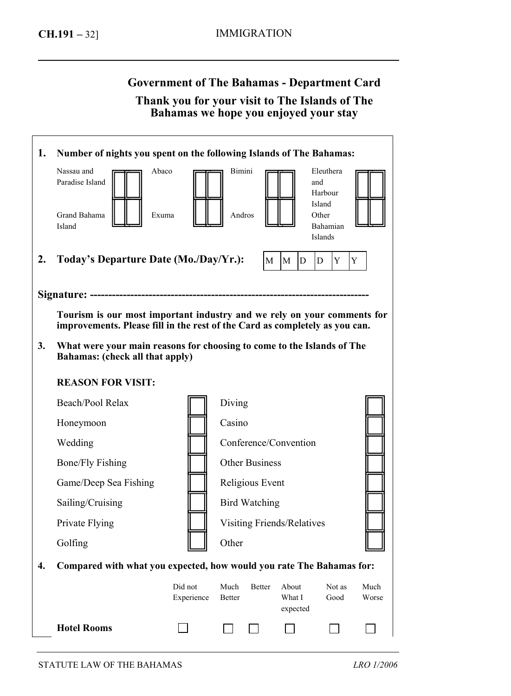Г

# **Government of The Bahamas - Department Card**

## **Thank you for your visit to The Islands of The Bahamas we hope you enjoyed your stay**

| 1. | Number of nights you spent on the following Islands of The Bahamas:                                                                                    |                       |                            |        |                             |                                                                       |        |               |
|----|--------------------------------------------------------------------------------------------------------------------------------------------------------|-----------------------|----------------------------|--------|-----------------------------|-----------------------------------------------------------------------|--------|---------------|
|    | Nassau and<br>Abaco<br>Paradise Island<br>Grand Bahama<br>Exuma<br>Island                                                                              |                       | Bimini<br>Andros           |        |                             | Eleuthera<br>and<br>Harbour<br>Island<br>Other<br>Bahamian<br>Islands |        |               |
| 2. | Today's Departure Date (Mo./Day/Yr.):                                                                                                                  |                       |                            | M      | lм<br>D                     | D                                                                     | Y<br>Y |               |
|    | Tourism is our most important industry and we rely on your comments for<br>improvements. Please fill in the rest of the Card as completely as you can. |                       |                            |        |                             |                                                                       |        |               |
| 3. | What were your main reasons for choosing to come to the Islands of The<br>Bahamas: (check all that apply)                                              |                       |                            |        |                             |                                                                       |        |               |
|    | <b>REASON FOR VISIT:</b>                                                                                                                               |                       |                            |        |                             |                                                                       |        |               |
|    | Beach/Pool Relax                                                                                                                                       |                       | Diving                     |        |                             |                                                                       |        |               |
|    | Honeymoon                                                                                                                                              |                       | Casino                     |        |                             |                                                                       |        |               |
|    | Wedding                                                                                                                                                |                       | Conference/Convention      |        |                             |                                                                       |        |               |
|    | <b>Bone/Fly Fishing</b>                                                                                                                                |                       | <b>Other Business</b>      |        |                             |                                                                       |        |               |
|    | Game/Deep Sea Fishing                                                                                                                                  |                       | Religious Event            |        |                             |                                                                       |        |               |
|    | Sailing/Cruising                                                                                                                                       |                       | <b>Bird Watching</b>       |        |                             |                                                                       |        |               |
|    | Private Flying                                                                                                                                         |                       | Visiting Friends/Relatives |        |                             |                                                                       |        |               |
|    | Golfing                                                                                                                                                |                       | Other                      |        |                             |                                                                       |        |               |
| 4. | Compared with what you expected, how would you rate The Bahamas for:                                                                                   |                       |                            |        |                             |                                                                       |        |               |
|    |                                                                                                                                                        | Did not<br>Experience | Much<br>Better             | Better | About<br>What I<br>expected | Good                                                                  | Not as | Much<br>Worse |
|    | <b>Hotel Rooms</b>                                                                                                                                     |                       |                            |        |                             |                                                                       |        |               |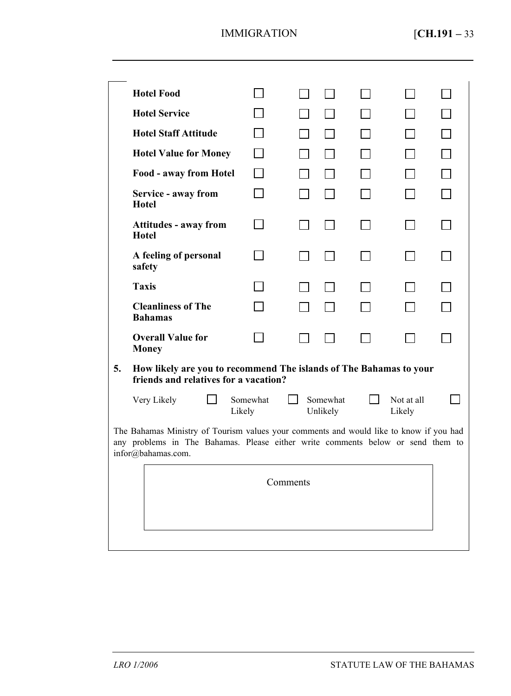|                                                                                                                                                                                                 | <b>Hotel Food</b>                            |                                                                                                             |  |                      |  |                      |  |
|-------------------------------------------------------------------------------------------------------------------------------------------------------------------------------------------------|----------------------------------------------|-------------------------------------------------------------------------------------------------------------|--|----------------------|--|----------------------|--|
|                                                                                                                                                                                                 | <b>Hotel Service</b>                         |                                                                                                             |  |                      |  |                      |  |
|                                                                                                                                                                                                 | <b>Hotel Staff Attitude</b>                  |                                                                                                             |  |                      |  |                      |  |
|                                                                                                                                                                                                 | <b>Hotel Value for Money</b>                 |                                                                                                             |  |                      |  |                      |  |
|                                                                                                                                                                                                 | Food - away from Hotel                       |                                                                                                             |  |                      |  |                      |  |
|                                                                                                                                                                                                 | Service - away from<br>Hotel                 |                                                                                                             |  |                      |  |                      |  |
|                                                                                                                                                                                                 | <b>Attitudes - away from</b><br><b>Hotel</b> |                                                                                                             |  |                      |  |                      |  |
|                                                                                                                                                                                                 | A feeling of personal<br>safety              |                                                                                                             |  |                      |  |                      |  |
|                                                                                                                                                                                                 | <b>Taxis</b>                                 |                                                                                                             |  |                      |  |                      |  |
|                                                                                                                                                                                                 | <b>Cleanliness of The</b><br><b>Bahamas</b>  |                                                                                                             |  |                      |  |                      |  |
|                                                                                                                                                                                                 | <b>Overall Value for</b><br><b>Money</b>     |                                                                                                             |  |                      |  |                      |  |
| 5.                                                                                                                                                                                              |                                              | How likely are you to recommend The islands of The Bahamas to your<br>friends and relatives for a vacation? |  |                      |  |                      |  |
|                                                                                                                                                                                                 | Very Likely                                  | Somewhat<br>Likely                                                                                          |  | Somewhat<br>Unlikely |  | Not at all<br>Likely |  |
| The Bahamas Ministry of Tourism values your comments and would like to know if you had<br>any problems in The Bahamas. Please either write comments below or send them to<br>infor@bahamas.com. |                                              |                                                                                                             |  |                      |  |                      |  |
|                                                                                                                                                                                                 | Comments                                     |                                                                                                             |  |                      |  |                      |  |
|                                                                                                                                                                                                 |                                              |                                                                                                             |  |                      |  |                      |  |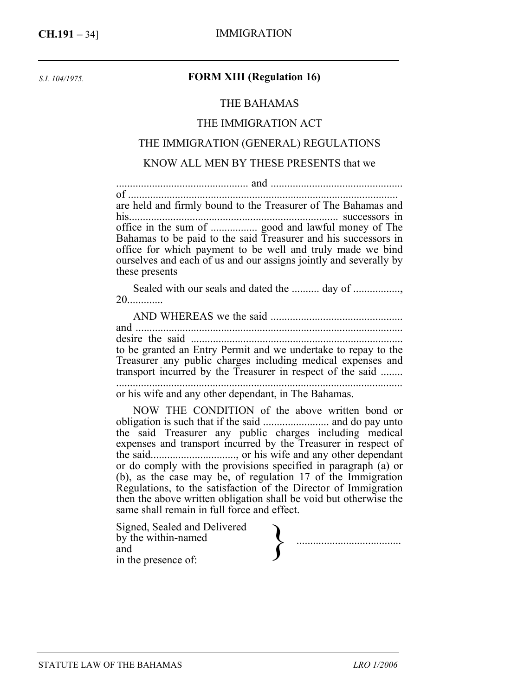*S.I. 104/1975.* 

### **FORM XIII (Regulation 16)**

#### THE BAHAMAS

#### THE IMMIGRATION ACT

#### THE IMMIGRATION (GENERAL) REGULATIONS

#### KNOW ALL MEN BY THESE PRESENTS that we

................................................ and ................................................ of .................................................................................................. are held and firmly bound to the Treasurer of The Bahamas and his............................................................................ successors in office in the sum of ................. good and lawful money of The Bahamas to be paid to the said Treasurer and his successors in office for which payment to be well and truly made we bind ourselves and each of us and our assigns jointly and severally by these presents

Sealed with our seals and dated the .......... day of .................. 20.............

AND WHEREAS we the said ................................................ and ................................................................................................. desire the said ............................................................................. to be granted an Entry Permit and we undertake to repay to the Treasurer any public charges including medical expenses and transport incurred by the Treasurer in respect of the said ........ ........................................................................................................

or his wife and any other dependant, in The Bahamas.

NOW THE CONDITION of the above written bond or obligation is such that if the said ........................ and do pay unto the said Treasurer any public charges including medical expenses and transport incurred by the Treasurer in respect of the said..............................., or his wife and any other dependant or do comply with the provisions specified in paragraph (a) or (b), as the case may be, of regulation 17 of the Immigration Regulations, to the satisfaction of the Director of Immigration then the above written obligation shall be void but otherwise the same shall remain in full force and effect.

| Signed, Sealed and Delivered<br>by the within-named<br>and |  |
|------------------------------------------------------------|--|
| in the presence of:                                        |  |
|                                                            |  |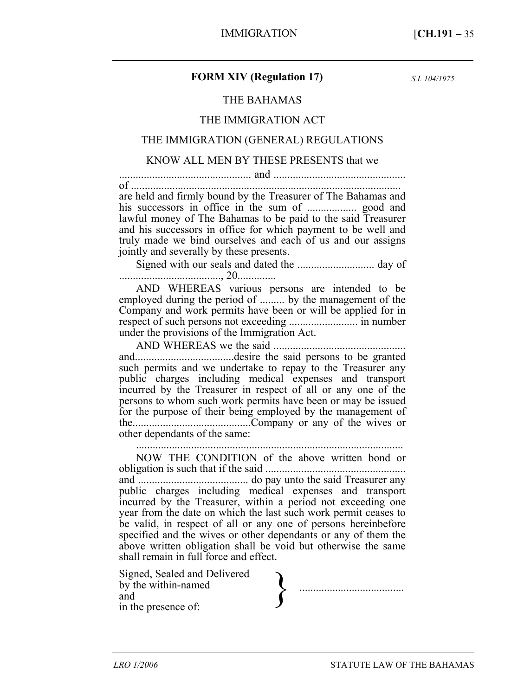#### **FORM XIV (Regulation 17)**

*S.I. 104/1975.* 

#### THE BAHAMAS

#### THE IMMIGRATION ACT

#### THE IMMIGRATION (GENERAL) REGULATIONS

#### KNOW ALL MEN BY THESE PRESENTS that we

................................................ and ................................................

of .................................................................................................. are held and firmly bound by the Treasurer of The Bahamas and his successors in office in the sum of .................. good and lawful money of The Bahamas to be paid to the said Treasurer and his successors in office for which payment to be well and truly made we bind ourselves and each of us and our assigns jointly and severally by these presents.

Signed with our seals and dated the ............................ day of ....................................., 20..............

AND WHEREAS various persons are intended to be employed during the period of ......... by the management of the Company and work permits have been or will be applied for in respect of such persons not exceeding ......................... in number under the provisions of the Immigration Act.

AND WHEREAS we the said ................................................ and....................................desire the said persons to be granted such permits and we undertake to repay to the Treasurer any public charges including medical expenses and transport incurred by the Treasurer in respect of all or any one of the persons to whom such work permits have been or may be issued for the purpose of their being employed by the management of the...........................................Company or any of the wives or other dependants of the same: .................................................................................................

NOW THE CONDITION of the above written bond or obligation is such that if the said ................................................... and ........................................ do pay unto the said Treasurer any public charges including medical expenses and transport incurred by the Treasurer, within a period not exceeding one year from the date on which the last such work permit ceases to be valid, in respect of all or any one of persons hereinbefore specified and the wives or other dependants or any of them the above written obligation shall be void but otherwise the same shall remain in full force and effect.

Signed, Sealed and Delivered by the within-named and<br>in the presence of: Signed, Sealed and Delivered<br>by the within-named<br>and<br>in the presence of: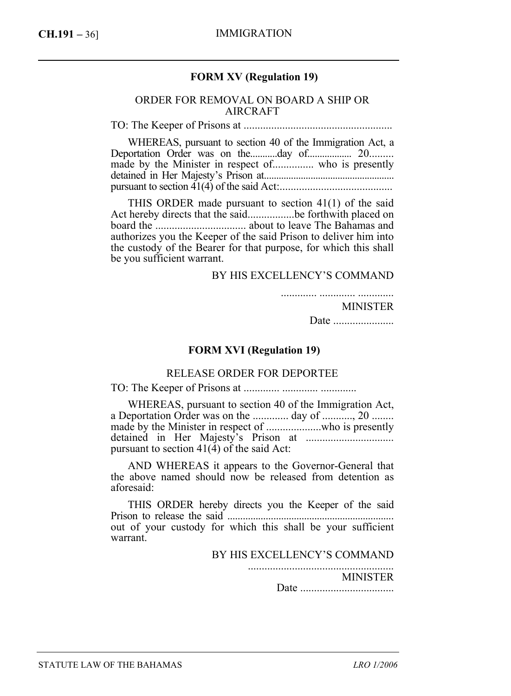## **FORM XV (Regulation 19)**

#### ORDER FOR REMOVAL ON BOARD A SHIP OR AIRCRAFT

TO: The Keeper of Prisons at ......................................................

WHEREAS, pursuant to section 40 of the Immigration Act, a Deportation Order was on the...........day of.................. 20......... made by the Minister in respect of............... who is presently detained in Her Majesty's Prison at..................................................... pursuant to section 41(4) of the said Act:.........................................

THIS ORDER made pursuant to section 41(1) of the said Act hereby directs that the said.................be forthwith placed on board the ................................. about to leave The Bahamas and authorizes you the Keeper of the said Prison to deliver him into the custody of the Bearer for that purpose, for which this shall be you sufficient warrant.

#### BY HIS EXCELLENCY'S COMMAND

............. ............. .............

#### MINISTER

Date ......................

#### **FORM XVI (Regulation 19)**

#### RELEASE ORDER FOR DEPORTEE

TO: The Keeper of Prisons at ............. ............. .............

WHEREAS, pursuant to section 40 of the Immigration Act, a Deportation Order was on the ............. day of ..........., 20 ........ made by the Minister in respect of ....................who is presently detained in Her Majesty's Prison at ................................ pursuant to section  $41(\dot{4})$  of the said Act:

AND WHEREAS it appears to the Governor-General that the above named should now be released from detention as aforesaid:

THIS ORDER hereby directs you the Keeper of the said Prison to release the said ................................................................. out of your custody for which this shall be your sufficient warrant.

BY HIS EXCELLENCY'S COMMAND

..................................................... MINISTER

Date ..................................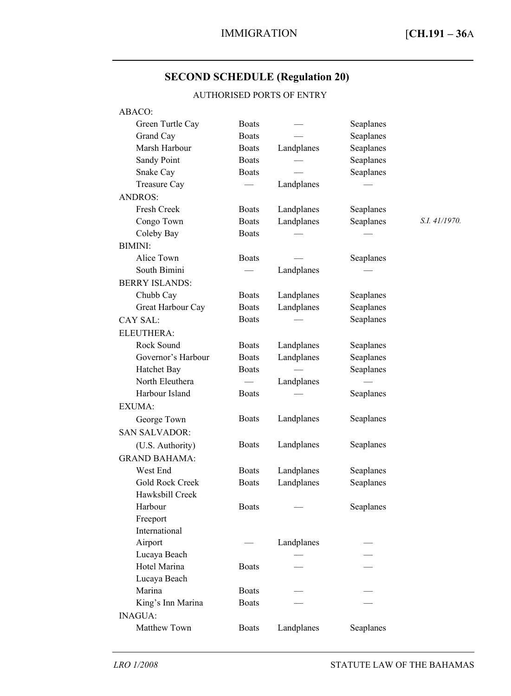# **SECOND SCHEDULE (Regulation 20)**

## AUTHORISED PORTS OF ENTRY

| ABACO:                |               |                          |           |               |  |
|-----------------------|---------------|--------------------------|-----------|---------------|--|
| Green Turtle Cay      | <b>Boats</b>  |                          | Seaplanes |               |  |
| Grand Cay             | <b>Boats</b>  |                          | Seaplanes |               |  |
| Marsh Harbour         | <b>Boats</b>  | Landplanes               | Seaplanes |               |  |
| Sandy Point           | <b>Boats</b>  |                          | Seaplanes |               |  |
| Snake Cay             | <b>Boats</b>  |                          | Seaplanes |               |  |
| Treasure Cay          | $\equiv$      | Landplanes               |           |               |  |
| <b>ANDROS:</b>        |               |                          |           |               |  |
| Fresh Creek           | <b>Boats</b>  | Landplanes               | Seaplanes |               |  |
| Congo Town            | <b>Boats</b>  | Landplanes               | Seaplanes | S.I. 41/1970. |  |
| Coleby Bay            | <b>Boats</b>  |                          |           |               |  |
| <b>BIMINI:</b>        |               |                          |           |               |  |
| Alice Town            | <b>Boats</b>  |                          | Seaplanes |               |  |
| South Bimini          |               | Landplanes               |           |               |  |
| <b>BERRY ISLANDS:</b> |               |                          |           |               |  |
| Chubb Cay             | <b>Boats</b>  | Landplanes               | Seaplanes |               |  |
| Great Harbour Cay     | <b>Boats</b>  | Landplanes               | Seaplanes |               |  |
| <b>CAY SAL:</b>       | <b>Boats</b>  |                          | Seaplanes |               |  |
| ELEUTHERA:            |               |                          |           |               |  |
| Rock Sound            | <b>Boats</b>  | Landplanes               | Seaplanes |               |  |
| Governor's Harbour    | <b>Boats</b>  | Landplanes               | Seaplanes |               |  |
| Hatchet Bay           | <b>Boats</b>  | $\overline{\phantom{0}}$ | Seaplanes |               |  |
| North Eleuthera       | $\frac{1}{2}$ | Landplanes               |           |               |  |
| Harbour Island        | <b>Boats</b>  |                          | Seaplanes |               |  |
| EXUMA:                |               |                          |           |               |  |
| George Town           | <b>Boats</b>  | Landplanes               | Seaplanes |               |  |
|                       |               |                          |           |               |  |
| <b>SAN SALVADOR:</b>  |               |                          |           |               |  |
| (U.S. Authority)      | <b>Boats</b>  | Landplanes               | Seaplanes |               |  |
| <b>GRAND BAHAMA:</b>  |               |                          |           |               |  |
| West End              | <b>Boats</b>  | Landplanes               | Seaplanes |               |  |
| Gold Rock Creek       | <b>Boats</b>  | Landplanes               | Seaplanes |               |  |
| Hawksbill Creek       |               |                          |           |               |  |
| Harbour               | <b>Boats</b>  |                          | Seaplanes |               |  |
| Freeport              |               |                          |           |               |  |
| International         |               |                          |           |               |  |
| Airport               |               | Landplanes               |           |               |  |
| Lucaya Beach          |               |                          |           |               |  |
| Hotel Marina          | <b>Boats</b>  |                          |           |               |  |
| Lucaya Beach          |               |                          |           |               |  |
| Marina                | <b>Boats</b>  |                          |           |               |  |
| King's Inn Marina     | <b>Boats</b>  |                          |           |               |  |
| <b>INAGUA:</b>        |               |                          |           |               |  |
| Matthew Town          | <b>Boats</b>  | Landplanes               | Seaplanes |               |  |